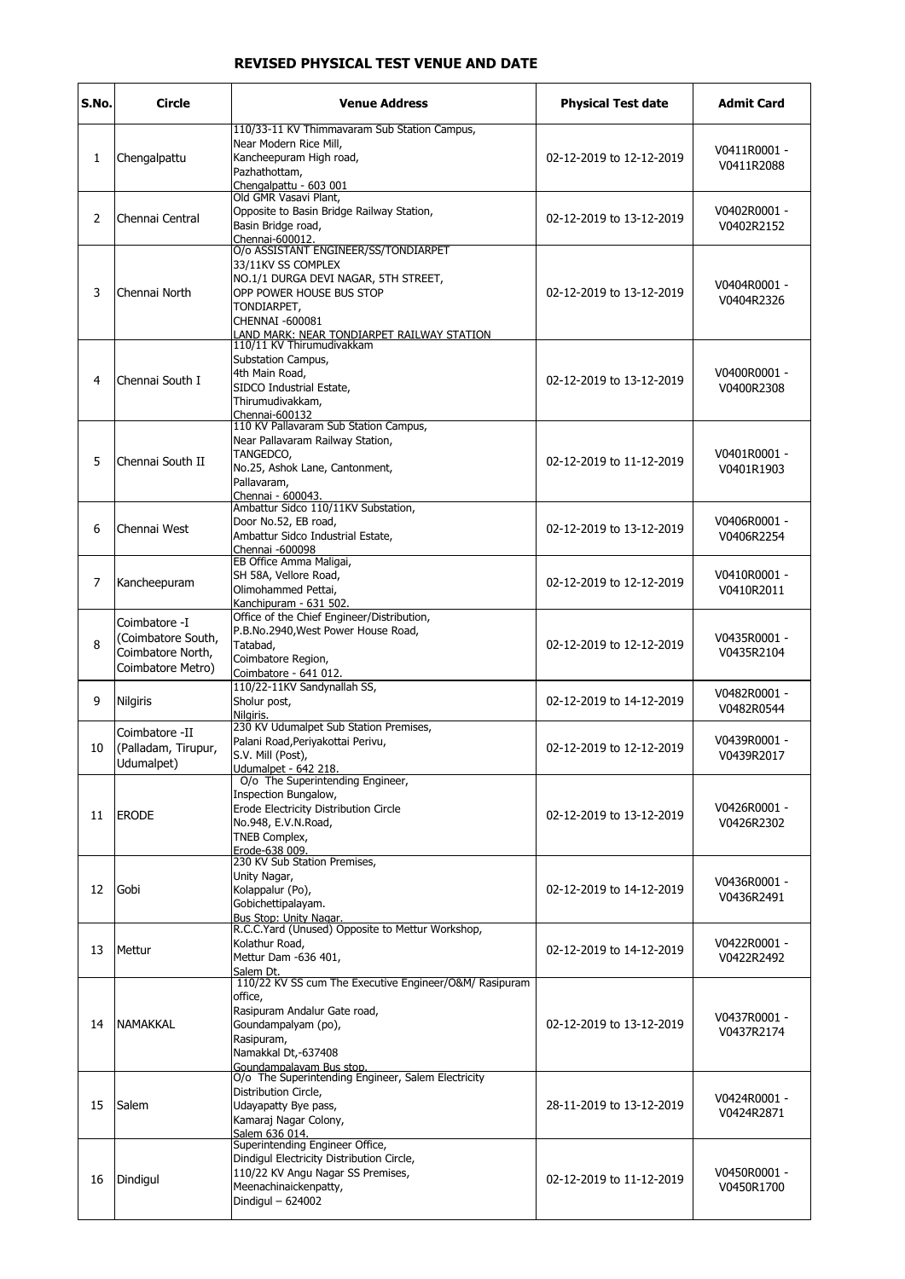## REVISED PHYSICAL TEST VENUE AND DATE

| S.No. | <b>Circle</b>                                                                 | <b>Venue Address</b>                                                                                                                                                                      | <b>Physical Test date</b> | <b>Admit Card</b>          |
|-------|-------------------------------------------------------------------------------|-------------------------------------------------------------------------------------------------------------------------------------------------------------------------------------------|---------------------------|----------------------------|
| 1     | Chengalpattu                                                                  | 110/33-11 KV Thimmavaram Sub Station Campus,<br>Near Modern Rice Mill,<br>Kancheepuram High road,<br>Pazhathottam,<br>Chengalpattu - 603 001                                              | 02-12-2019 to 12-12-2019  | V0411R0001 -<br>V0411R2088 |
| 2     | Chennai Central                                                               | Old GMR Vasavi Plant,<br>Opposite to Basin Bridge Railway Station,<br>Basin Bridge road,<br>Chennai-600012.                                                                               | 02-12-2019 to 13-12-2019  | V0402R0001 -<br>V0402R2152 |
| 3     | Chennai North                                                                 | O/o ASSISTANT ENGINEER/SS/TONDIARPET<br>33/11KV SS COMPLEX<br>NO.1/1 DURGA DEVI NAGAR, 5TH STREET,<br>OPP POWER HOUSE BUS STOP<br>TONDIARPET,<br>CHENNAI -600081                          | 02-12-2019 to 13-12-2019  | V0404R0001 -<br>V0404R2326 |
| 4     | lChennai South I                                                              | LAND MARK: NEAR TONDIARPET RAILWAY STATION.<br>110/11 KV Thirumudivakkam<br>Substation Campus,<br>4th Main Road,<br>SIDCO Industrial Estate,<br>Thirumudivakkam,<br>Chennai-600132        | 02-12-2019 to 13-12-2019  | V0400R0001 -<br>V0400R2308 |
| 5     | Chennai South II                                                              | 110 KV Pallavaram Sub Station Campus,<br>Near Pallavaram Railway Station,<br>TANGEDCO,<br>No.25, Ashok Lane, Cantonment,<br>Pallavaram,<br>Chennai - 600043.                              | 02-12-2019 to 11-12-2019  | V0401R0001 -<br>V0401R1903 |
| 6     | Chennai West                                                                  | Ambattur Sidco 110/11KV Substation,<br>Door No.52, EB road,<br>Ambattur Sidco Industrial Estate,<br>Chennai -600098                                                                       | 02-12-2019 to 13-12-2019  | V0406R0001 -<br>V0406R2254 |
| 7     | Kancheepuram                                                                  | EB Office Amma Maligai,<br>SH 58A, Vellore Road,<br>Olimohammed Pettai,<br>Kanchipuram - 631 502.                                                                                         | 02-12-2019 to 12-12-2019  | V0410R0001 -<br>V0410R2011 |
| 8     | Coimbatore -I<br>(Coimbatore South,<br>Coimbatore North,<br>Coimbatore Metro) | Office of the Chief Engineer/Distribution,<br>P.B.No.2940, West Power House Road,<br>Tatabad,<br>Coimbatore Region,<br>Coimbatore - 641 012.                                              | 02-12-2019 to 12-12-2019  | V0435R0001 -<br>V0435R2104 |
| 9     | <b>Nilgiris</b>                                                               | 110/22-11KV Sandynallah SS,<br>Sholur post,<br>Nilgiris.                                                                                                                                  | 02-12-2019 to 14-12-2019  | V0482R0001 -<br>V0482R0544 |
| 10    | Coimbatore -II<br>(Palladam, Tirupur,<br>Udumalpet)                           | 230 KV Udumalpet Sub Station Premises,<br>Palani Road, Periyakottai Perivu,<br>S.V. Mill (Post),<br>Udumalpet - 642 218.                                                                  | 02-12-2019 to 12-12-2019  | V0439R0001 -<br>V0439R2017 |
| 11    | <b>ERODE</b>                                                                  | O/o The Superintending Engineer,<br>Inspection Bungalow,<br>Erode Electricity Distribution Circle<br>No.948, E.V.N.Road,<br>TNEB Complex,<br>Erode-638 009.                               | 02-12-2019 to 13-12-2019  | V0426R0001 -<br>V0426R2302 |
| 12    | Gobi                                                                          | 230 KV Sub Station Premises,<br>Unity Nagar,<br>Kolappalur (Po),<br>Gobichettipalayam.<br>Bus Stop: Unity Nagar.                                                                          | 02-12-2019 to 14-12-2019  | V0436R0001 -<br>V0436R2491 |
| 13    | Mettur                                                                        | R.C.C.Yard (Unused) Opposite to Mettur Workshop,<br>Kolathur Road,<br>Mettur Dam -636 401,<br>Salem Dt.                                                                                   | 02-12-2019 to 14-12-2019  | V0422R0001 -<br>V0422R2492 |
| 14    | NAMAKKAL                                                                      | 110/22 KV SS cum The Executive Engineer/O&M/ Rasipuram<br>office,<br>Rasipuram Andalur Gate road,<br>Goundampalyam (po),<br>Rasipuram,<br>Namakkal Dt,-637408<br>Goundampalavam Bus stop. | 02-12-2019 to 13-12-2019  | V0437R0001 -<br>V0437R2174 |
| 15    | Salem                                                                         | O/o The Superintending Engineer, Salem Electricity<br>Distribution Circle,<br>Udayapatty Bye pass,<br>Kamaraj Nagar Colony,<br>Salem 636 014.                                             | 28-11-2019 to 13-12-2019  | V0424R0001 -<br>V0424R2871 |
| 16    | Dindigul                                                                      | Superintending Engineer Office,<br>Dindigul Electricity Distribution Circle,<br>110/22 KV Angu Nagar SS Premises,<br>Meenachinaickenpatty,<br>Dindigul - 624002                           | 02-12-2019 to 11-12-2019  | V0450R0001 -<br>V0450R1700 |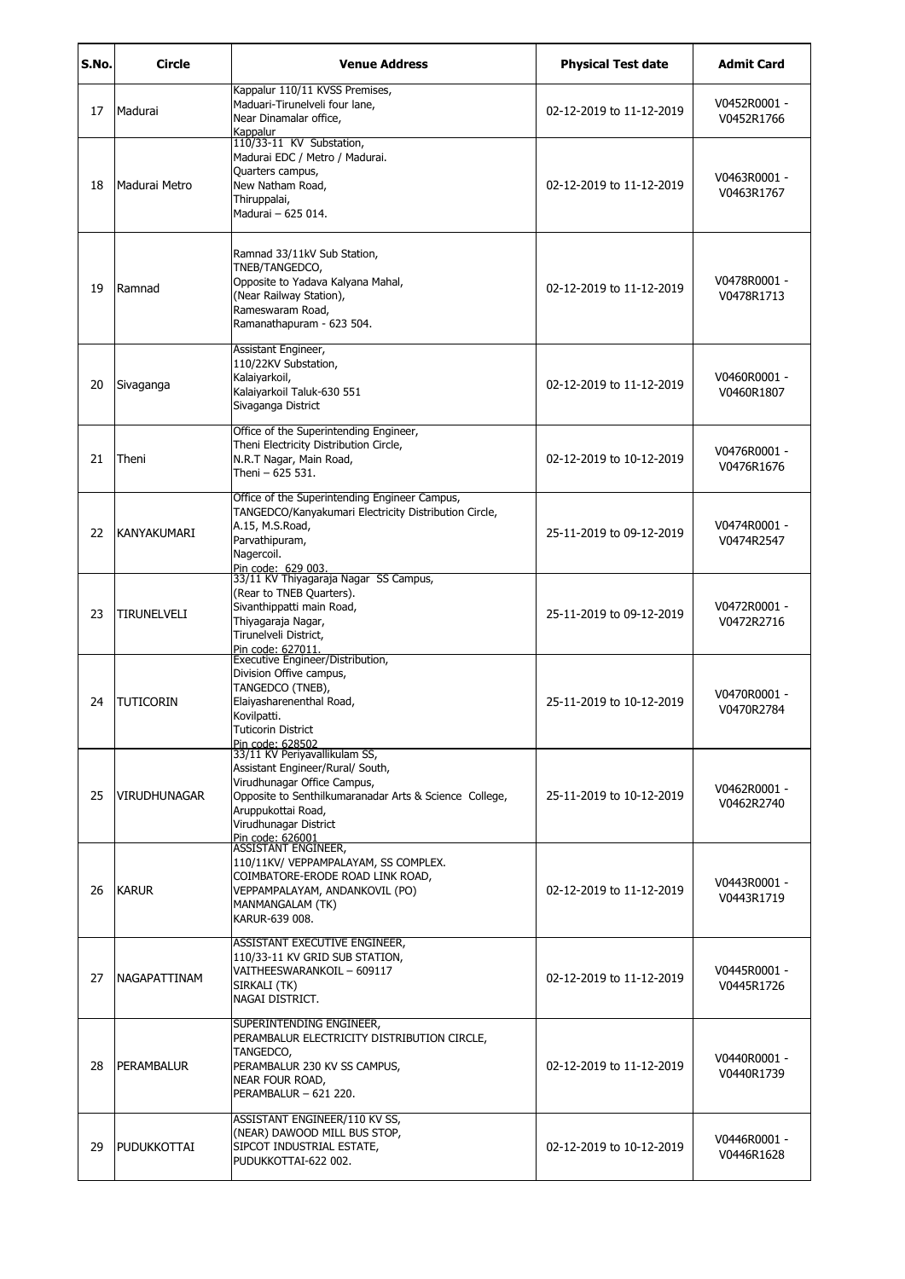| S.No. | Circle               | <b>Venue Address</b>                                                                                                                                                                                                          | <b>Physical Test date</b> | Admit Card                 |
|-------|----------------------|-------------------------------------------------------------------------------------------------------------------------------------------------------------------------------------------------------------------------------|---------------------------|----------------------------|
| 17    | Madurai              | Kappalur 110/11 KVSS Premises,<br>Maduari-Tirunelveli four lane,<br>Near Dinamalar office,<br>Kappalur                                                                                                                        | 02-12-2019 to 11-12-2019  | V0452R0001 -<br>V0452R1766 |
| 18    | Madurai Metro        | 110/33-11 KV Substation,<br>Madurai EDC / Metro / Madurai.<br>Quarters campus,<br>New Natham Road,<br>Thiruppalai,<br>Madurai - 625 014.                                                                                      | 02-12-2019 to 11-12-2019  | V0463R0001 -<br>V0463R1767 |
| 19    | Ramnad               | Ramnad 33/11kV Sub Station,<br>TNEB/TANGEDCO,<br>Opposite to Yadava Kalyana Mahal,<br>(Near Railway Station),<br>Rameswaram Road,<br>Ramanathapuram - 623 504.                                                                | 02-12-2019 to 11-12-2019  | V0478R0001 -<br>V0478R1713 |
| 20    | Sivaganga            | Assistant Engineer,<br>110/22KV Substation,<br>Kalaiyarkoil,<br>Kalaiyarkoil Taluk-630 551<br>Sivaganga District                                                                                                              | 02-12-2019 to 11-12-2019  | V0460R0001 -<br>V0460R1807 |
| 21    | Theni                | Office of the Superintending Engineer,<br>Theni Electricity Distribution Circle,<br>N.R.T Nagar, Main Road,<br>Theni - 625 531.                                                                                               | 02-12-2019 to 10-12-2019  | V0476R0001 -<br>V0476R1676 |
| 22    | KANYAKUMARI          | Office of the Superintending Engineer Campus,<br>TANGEDCO/Kanyakumari Electricity Distribution Circle,<br>A.15, M.S.Road,<br>Parvathipuram,<br>Nagercoil.<br>Pin code: 629 003.                                               | 25-11-2019 to 09-12-2019  | V0474R0001 -<br>V0474R2547 |
| 23    | <b>TIRUNELVELI</b>   | 33/11 KV Thiyagaraja Nagar SS Campus,<br>(Rear to TNEB Quarters).<br>Sivanthippatti main Road,<br>Thiyagaraja Nagar,<br>Tirunelveli District,<br>Pin code: 627011.                                                            | 25-11-2019 to 09-12-2019  | V0472R0001 -<br>V0472R2716 |
| 24    | <b>TUTICORIN</b>     | Executive Engineer/Distribution,<br>Division Offive campus,<br>TANGEDCO (TNEB),<br>Elaiyasharenenthal Road,<br>Kovilpatti.<br>Tuticorin District                                                                              | 25-11-2019 to 10-12-2019  | V0470R0001 -<br>V0470R2784 |
| 25    | <b>VIRUDHUNAGAR</b>  | Pin code: 628502<br>33/11 KV Periyavallikulam SS,<br>Assistant Engineer/Rural/ South,<br>Virudhunagar Office Campus,<br>Opposite to Senthilkumaranadar Arts & Science College,<br>Aruppukottai Road,<br>Virudhunagar District | 25-11-2019 to 10-12-2019  | V0462R0001 -<br>V0462R2740 |
| 26    | <b>KARUR</b>         | Pin code: 626001<br>ASSISTANT ENGINEER,<br>110/11KV/ VEPPAMPALAYAM, SS COMPLEX.<br>COIMBATORE-ERODE ROAD LINK ROAD,<br>VEPPAMPALAYAM, ANDANKOVIL (PO)<br>MANMANGALAM (TK)<br>KARUR-639 008.                                   | 02-12-2019 to 11-12-2019  | V0443R0001 -<br>V0443R1719 |
| 27    | <b>INAGAPATTINAM</b> | ASSISTANT EXECUTIVE ENGINEER,<br>110/33-11 KV GRID SUB STATION,<br>VAITHEESWARANKOIL - 609117<br>SIRKALI (TK)<br>NAGAI DISTRICT.                                                                                              | 02-12-2019 to 11-12-2019  | V0445R0001 -<br>V0445R1726 |
| 28    | PERAMBALUR           | SUPERINTENDING ENGINEER,<br>PERAMBALUR ELECTRICITY DISTRIBUTION CIRCLE,<br>TANGEDCO,<br>PERAMBALUR 230 KV SS CAMPUS,<br>NEAR FOUR ROAD,<br>PERAMBALUR - 621 220.                                                              | 02-12-2019 to 11-12-2019  | V0440R0001 -<br>V0440R1739 |
| 29    | PUDUKKOTTAI          | ASSISTANT ENGINEER/110 KV SS,<br>(NEAR) DAWOOD MILL BUS STOP,<br>SIPCOT INDUSTRIAL ESTATE,<br>PUDUKKOTTAI-622 002.                                                                                                            | 02-12-2019 to 10-12-2019  | V0446R0001 -<br>V0446R1628 |